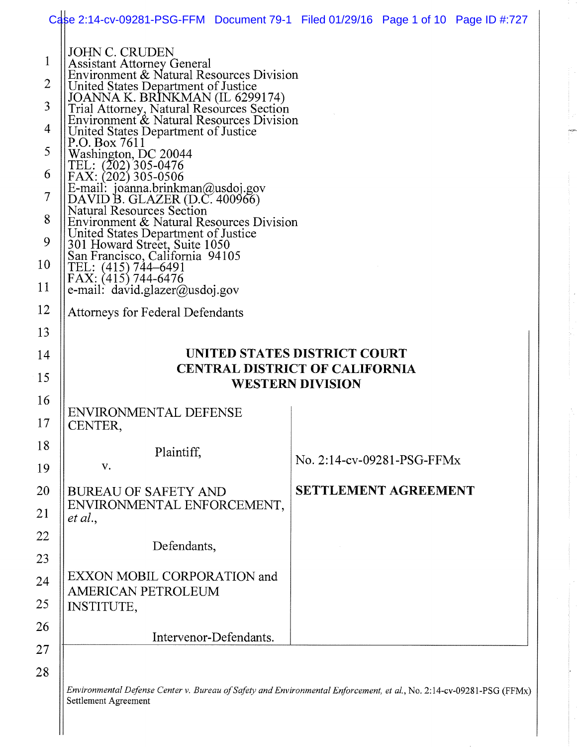|                | Case 2:14-cv-09281-PSG-FFM Document 79-1 Filed 01/29/16 Page 1 of 10 Page ID #:727                                       |                             |  |  |  |  |
|----------------|--------------------------------------------------------------------------------------------------------------------------|-----------------------------|--|--|--|--|
| $\mathbf{1}$   | <b>JOHN C. CRUDEN</b><br><b>Assistant Attorney General</b><br>Environment & Natural Resources Division                   |                             |  |  |  |  |
| $\overline{2}$ | United States Department of Justice                                                                                      |                             |  |  |  |  |
| 3              | JOANNA K. BRINKMAN (IL 6299174)<br>Trial Attorney, Natural Resources Section<br>Environment & Natural Resources Division |                             |  |  |  |  |
| 4              | United States Department of Justice                                                                                      |                             |  |  |  |  |
| 5              | P.O. Box 7611<br>Washington, DC 20044                                                                                    |                             |  |  |  |  |
| 6              | TEL: (202) 305-0476<br>FAX: (202) 305-0506                                                                               |                             |  |  |  |  |
| 7              | E-mail: joanna.brinkman@usdoj.gov<br>DAVID B. GLAZER (D.C. 400966)                                                       |                             |  |  |  |  |
| 8              | <b>Natural Resources Section</b><br>Environment & Natural Resources Division                                             |                             |  |  |  |  |
| 9              | United States Department of Justice<br>301 Howard Street, Suite 1050                                                     |                             |  |  |  |  |
| 10             | San Francisco, California 94105<br>TEL: (415) 744-6491<br>FAX: (415) 744-6476                                            |                             |  |  |  |  |
| 11             | e-mail: $david.glazer@usdoj.gov$                                                                                         |                             |  |  |  |  |
| 12             | <b>Attorneys for Federal Defendants</b>                                                                                  |                             |  |  |  |  |
| 13             |                                                                                                                          |                             |  |  |  |  |
|                | UNITED STATES DISTRICT COURT                                                                                             |                             |  |  |  |  |
| 14             |                                                                                                                          |                             |  |  |  |  |
| 15             | <b>CENTRAL DISTRICT OF CALIFORNIA</b>                                                                                    |                             |  |  |  |  |
| 16             |                                                                                                                          | <b>WESTERN DIVISION</b>     |  |  |  |  |
| 17             | <b>ENVIRONMENTAL DEFENSE</b><br>CENTER,                                                                                  |                             |  |  |  |  |
| 18             | Plaintiff.                                                                                                               |                             |  |  |  |  |
| 19             | V.                                                                                                                       | No. 2:14-cv-09281-PSG-FFMx  |  |  |  |  |
| 20             | <b>BUREAU OF SAFETY AND</b>                                                                                              | <b>SETTLEMENT AGREEMENT</b> |  |  |  |  |
| 21             | ENVIRONMENTAL ENFORCEMENT,<br>et al.,                                                                                    |                             |  |  |  |  |
| 22             |                                                                                                                          |                             |  |  |  |  |
| 23             | Defendants,                                                                                                              |                             |  |  |  |  |
| 24             | EXXON MOBIL CORPORATION and                                                                                              |                             |  |  |  |  |
| 25             | <b>AMERICAN PETROLEUM</b><br><b>INSTITUTE,</b>                                                                           |                             |  |  |  |  |
| 26             |                                                                                                                          |                             |  |  |  |  |
| 27             | Intervenor-Defendants.                                                                                                   |                             |  |  |  |  |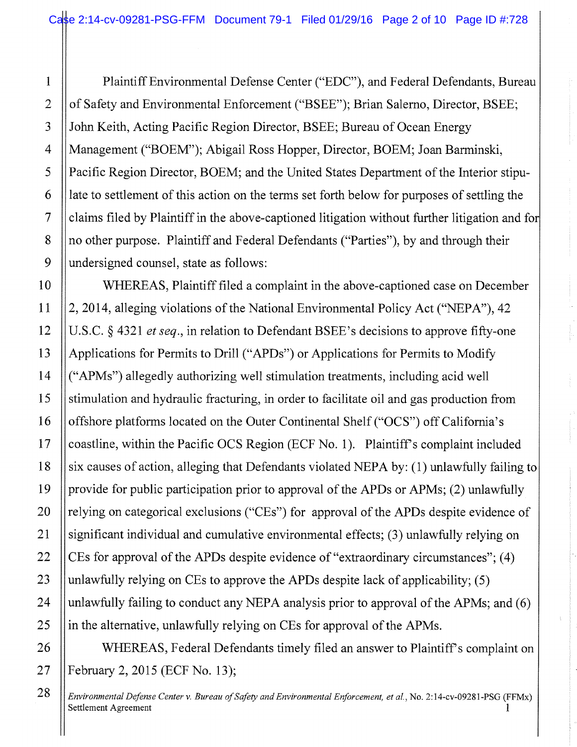Plaintiff Environmental Defense Center ("EDC"), and Federal Defendants, Bureau of Safety and Environmental Enforcement ("BSEE"); Brian Salerno, Director, BSEE; John Keith, Acting Pacific Region Director, BSEE; Bureau of Ocean Energy Management ("BOEM"); Abigail Ross Hopper, Director, BOEM; Joan Barminski, Pacific Region Director, BOEM; and the United States Department of the Interior stipulate to settlement of this action on the terms set forth below for purposes of settling the claims filed by Plaintiff in the above-captioned litigation without further litigation and f no other purpose. Plaintiff and Federal Defendants ("Parties"), by and through their undersigned counsel, state as follows:

WHEREAS, Plaintiff filed a complaint in the above-captioned case on December 2, 2014, alleging violations of the National Environmental Policy Act ("NEPA"), 42 U.S.C. § 4321 *et seq.*, in relation to Defendant BSEE's decisions to approve fifty-one Applications for Permits to Drill ("APDs") or Applications for Permits to Modify ("APMs") allegedly authorizing we11 stimulation treatments, including acid well stimulation and hydraulic fracturing, in order to facilitate oil and gas production from offshore platforms located on the Outer Continental Shelf ("OCS") off California's coastline, within the Pacific OCS Region (ECF No. 1). Plaintiff's complaint included six causes of action, alleging that Defendants violated NEPA by: (1) unlawfully failing to provide for public participation prior to approval of the APDs or APMs; (2) unlawfully relying on categorical exclusions ("CEs") for approval of the APDs despite evidence of significant individual and cumulative environmental effects; (3) unlawfully relying on CEs for approval of the APDs despite evidence of "extraordinary circumstances"; (4) unlawfully relying on CEs to approve the APDs despite lack of applicability; (5) unlawfully failing to conduct any NEPA analysis prior to approval of the APMs; and (6) in the alternative, unlawfully relying on CEs for approval of the APMs.

WHEREAS, Federal Defendants timely filed an answer to Plaintiff's complaint on February 2, 2015 (ECF No. 13);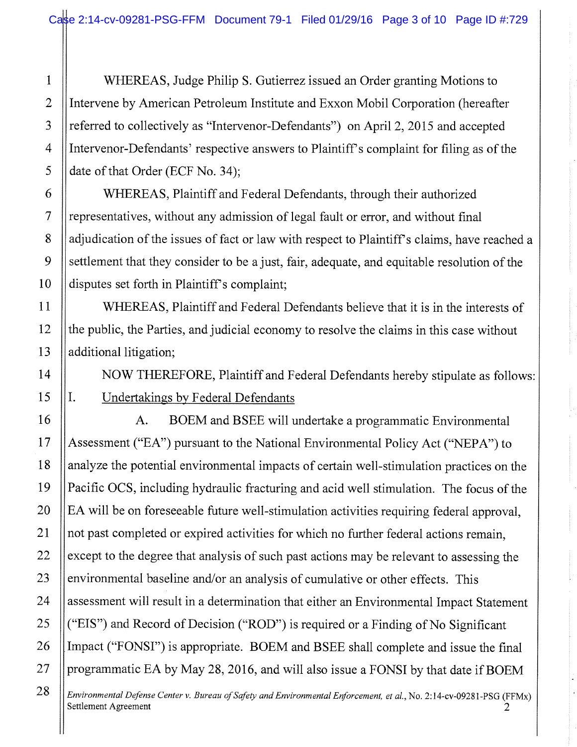WHEREAS, Judge Philip S. Gutierrez issued an Order granting Motions to Intervene by American Petroleum Institute and Exxon Mobil Corporation (hereafter referred to collectively as "Intervenor-Defendants") on April 2, 2015 and accepted Intervenor-Defendants' respective answers to Plaintiff's complaint for filing as of the date of that Order (ECF No. 34);

WHEREAS, Plaintiff and Federal Defendants, through their authorized representatives, without any admission of legal fault or error, and without final adjudication of the issues of fact or law with respect to Plaintiff's claims, have reached a settlement that they consider to be a just, fair, adequate, and equitable resolution of the disputes set forth in Plaintiff's complaint;

WHEREAS, Plaintiff and Federal Defendants believe that it is in the interests of the public, the Parties, and judicial economy to resolve the claims in this case without additional litigation;

NOW THEREFORE, Plaintiff and Federal Defendants hereby stipulate as follows: Undertakings by Federal Defendants

A. BOEM and BSEE will undertake a programmatic Environmental Assessment ("EA") pursuant to the National Environmental Policy Act ("NEPA") to analyze the potential environmental impacts of certain well-stimulation practices on the Pacific OCS, including hydraulic fracturing and acid well stimulation. The focus of the EA will be on foreseeable future well-stimulation activities requiring federal approval, not past completed or expired activities for which no further federal actions remain, except to the degree that analysis of such past actions may be relevant to assessing the environmental baseline and/or an analysis of cumulative or other effects. This assessment will result in a determination that either an Environmental Impact Statement ("EIS") and Record of Decision ("ROD") is required or a Finding of No Significant Impact ("FONSI") is appropriate. BOEM and BSEE shall complete and issue the final programmatic EA by May 28, 2016, and will also issue a FONSI by that date if BOEM

Environmental Defense Center v. Bureau of Safety and Environmental Enforcement, et al., No. 2:14-cv-09281-PSG (FFMx) Settlement Agreement 2

 $I<sub>1</sub>$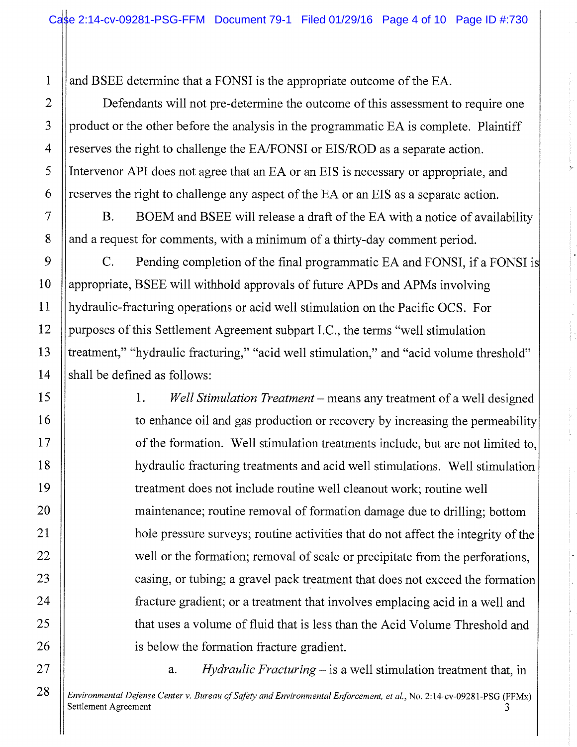and BSEE determine that a FONSI is the appropriate outcome of the EA.

Defendants will not pre-determine the outcome of this assessment to require one product or the other before the analysis in the programmatic EA is complete. Plaintiff reserves the right to challenge the EA/FONSI or EIS/ROD as a separate action. Intervenor API does not agree that an EA or an EIS is necessary or appropriate, and reserves the right to challenge any aspect of the EA or an EIS as a separate action.

B. BOEM and BSEE will release a draft of the EA with a notice of availability and a request for comments, with a minimum of a thirty-day comment period.

C. Pending completion of the final programmatic EA and FONSI, if a FONSI appropriate, BSEE will withhold approvals of future APDs and APMs involving hydraulic-fracturing operations or acid well stimulation on the Pacific OCS. For purposes of this Settlement Agreement subpart I.C., the terms "well stimulation treatment," "hydraulic fracturing," "acid well stimulation," and "acid volume threshold" shall be defined as follows:

> 1. Well Stimulation Treatment – means any treatment of a well designed to enhance oil and gas production or recovery by increasing the permeability of the formation. Well stimulation treatments include, but are not limited to hydraulic fracturing treatments and acid we11 stimulations. Well stimulation treatment does not include routine well cleanout work; routine well maintenance; routine removal of formation damage due to drilling; bottom hole pressure surveys; routine activities that do not affect the integrity of the well or the formation; removal of scale or precipitate from the perforations, casing, or tubing; a gravel pack treatment that does not exceed the formatior. fracture gradient; or a treatment that involves emplacing acid in a well and that uses a volume of fluid that is less than the Acid Volume Threshold and is below the formation fracture gradient.

> > a. Hydraulic Fracturing  $-$  is a well stimulation treatment that, in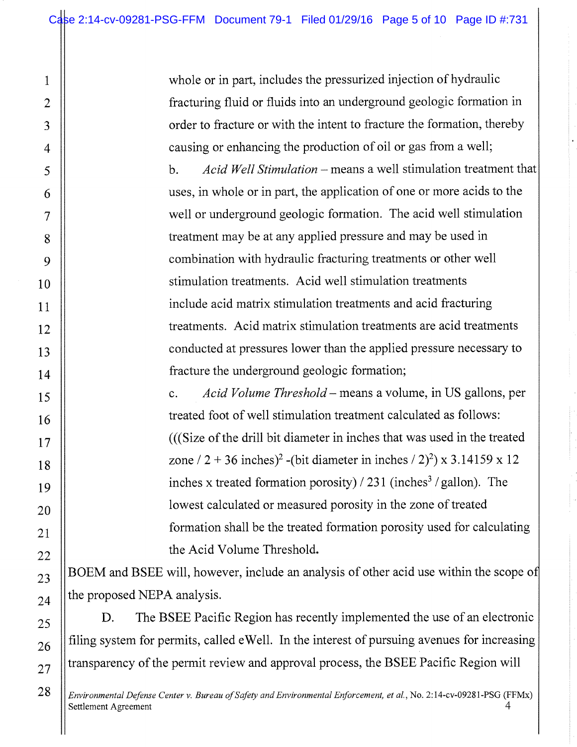whole or in part, includes the pressurized injection of hydraulic fracturing fluid or fluids into an underground geologic formation in order to fracture or with the intent to fracture the formation, thereby causing or enhancing the production of oil or gas from a well;

b. Acid Well Stimulation – means a well stimulation treatment that uses, in whole or in part, the application of one or more acids to the well or underground geologic formation. The acid well stimulation treatment may be at any applied pressure and may be used in combination with hydraulic fracturing treatments or other well stimulation treatments. Acid well stimulation treatments include acid matrix stimulation treatments and acid fracturing treatments. Acid matrix stimulation treatments are acid treatments conducted at pressures lower than the applied pressure necessary to fracture the underground geologic formation;

c. Acid Volume Threshold — means a volume, in US gallons, per treated foot of well stimulation treatment calculated as follows: (((Size of the drill bit diameter in inches that was used in the treated zone / 2 + 36 inches)<sup>2</sup> -(bit diameter in inches / 2)<sup>2</sup>) x 3.14159 x 12 inches x treated formation porosity)  $/ 231$  (inches<sup>3</sup> /gallon). The lowest calculated or measured porosity in the zone of treated formation shall be the treated formation porosity used for calculating the Acid Volume Threshold.

BOEM and BSEE will, however, include an analysis of other acid use within the scope of the proposed NEPA analysis.

D. The BSEE Pacific Region has recently implemented the use of an electronic filing system for permits, called eWell. In the interest of pursuing avenues for increasing transparency of the permit review and approval process, the BSEE Pacific Region will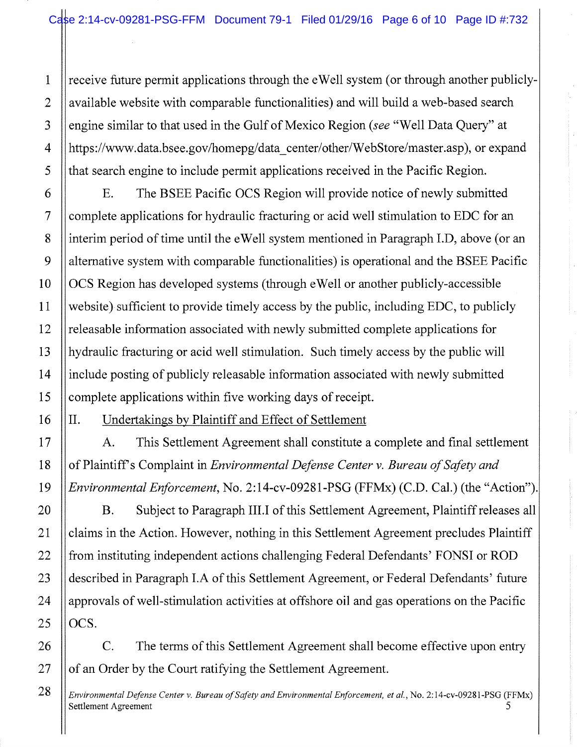receive future permit applications through the eWell system (or through another publiclyavailable website with comparable functionalities) and will build a web-based search engine similar to that used in the Gulf of Mexico Region (see "Well Data Query" at https://www.data.bsee.gov/homepg/data\_center/other/WebStore/master.asp), or expand that search engine to include permit applications received in the Pacific Region.

E. The BSEE Pacific OCS Region will provide notice of newly submitted complete applications for hydraulic fracturing or acid well stimulation to EDC for an interim period of time until the eWell system mentioned in Paragraph I.D, above (or an alternative system with comparable functionalities) is operational and the BSEE Pacific OCS Region has developed systems (through eWell or another publicly-accessible website) sufficient to provide timely access by the public, including EDC, to publicly releasable information associated with newly submitted complete applications for hydraulic fracturing or acid well stimulation. Such timely access by the public will include posting of publicly releasable information associated with newly submitted complete applications within five working days of receipt.

II. Undertakings by Plaintiff and Effect of Settlement

A. This Settlement Agreement shall constitute a complete and final settlement of Plaintiff's Complaint in Environmental Defense Center v. Bureau of Safety and Environmental Enforcement, No. 2:14-cv-09281-PSG (FFMx) (C.D. Cal.) (the "Action").

B. Subject to Paragraph III.I of this Settlement Agreement, Plaintiff releases all claims in the Action. However, nothing in this Settlement Agreement precludes Plaintiff from instituting independent actions challenging Federal Defendants' FONSI or ROD described in Paragraph I.A of this Settlement Agreement, or Federal Defendants' future approvals of well-stimulation activities at offshore oil and gas operations on the Pacific OCS.

C. The terms of this Settlement Agreement shall become effective upon entry of an Order by the Court ratifying the Settlement Agreement.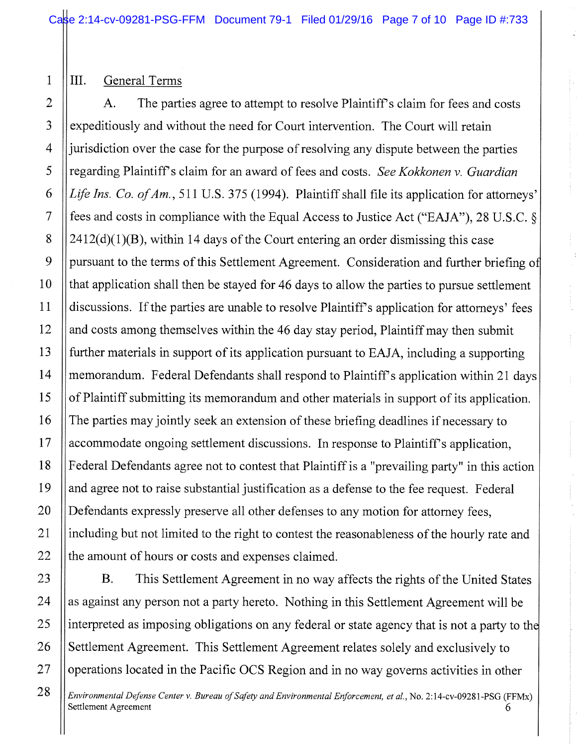## III. General Terms

A. The parties agree to attempt to resolve Plaintiff's claim for fees and costs expeditiously and without the need for Court intervention. The Court will retain jurisdiction over the case for the purpose of resolving any dispute between the parties regarding Plaintiff's claim for an award of fees and costs. See Kokkonen v. Guardian Life Ins. Co. of Am., 511 U.S. 375 (1994). Plaintiff shall file its application for attorneys' fees and costs in compliance with the Equal Access to Justice Act ("EAJA"), 28 U.S.C. §  $2412(d)(1)(B)$ , within 14 days of the Court entering an order dismissing this case pursuant to the terms of this Settlement Agreement. Consideration and further briefing of that application shall then be stayed for 46 days to allow the parties to pursue settlement discussions. If the parties are unable to resolve Plaintiff's application for attorneys' fees and costs among themselves within the 46 day stay period, Plaintiff may then submit further materials in support of its application pursuant to EAJA, including a supporting memorandum. Federal Defendants shall respond to Plaintiff's application within 21 days of Plaintiff submitting its memorandum and other materials in support of its application. The parties may jointly seek an extension of these briefing deadlines if necessary to accommodate ongoing settlement discussions. In response to Plaintiff's application, Federal Defendants agree not to contest that Plaintiff is a "prevailing party" in this action and agree not to raise substantial justification as a defense to the fee request. Federal Defendants expressly preserve all other defenses to any motion for attorney fees, including but not limited to the right to contest the reasonableness of the hourly rate and the amount of hours or costs and expenses claimed.

B. This Settlement Agreement in no way affects the rights of the United States as against any person not a party hereto. Nothing in this Settlement Agreement will be interpreted as imposing obligations on any federal or state agency that is not a party to the Settlement Agreement. This Settlement Agreement relates solely and exclusively to operations located in the Pacific OCS Region and in no way governs activities in other

Environmental Defense Center v. Bureau of Safety and Environmental Enforcement, et al., No. 2:14-cv-09281-PSG (FFMx) Settlement Agreement 6 and 3 and 3 and 3 and 3 and 3 and 3 and 3 and 3 and 3 and 4 and 4 and 4 and 4 and 4 and 4 and 4 and 4 and 4 and 4 and 4 and 4 and 4 and 4 and 4 and 4 and 4 and 4 and 4 and 4 and 4 and 4 and 4 and 4 a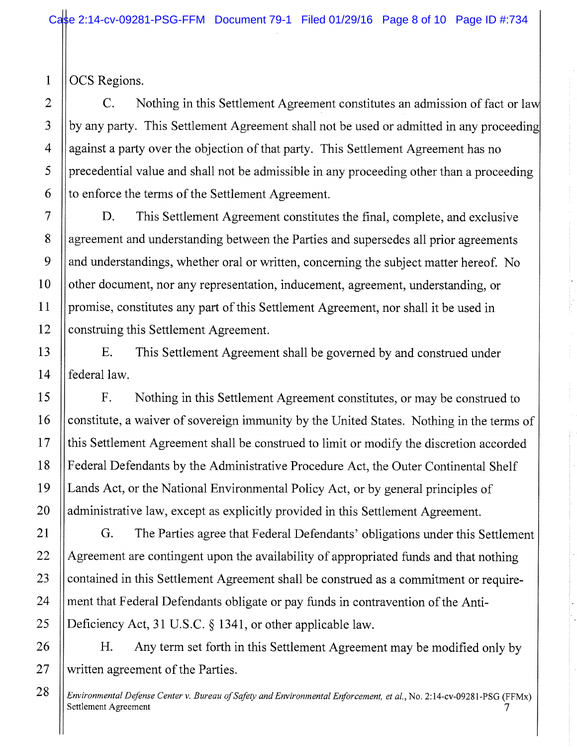OCS Regions.

1

C. Nothing in this Settlement Agreement constitutes an admission of fact or law by any party. This Settlement Agreement shall not be used or admitted in any proceeding against a party over the objection of that party. This Settlement Agreement has no precedential value and shall not be admissible in any proceeding other than a proceeding to enforce the terms of the Settlement Agreement.

D. This Settlement Agreement constitutes the final, complete, and exclusive agreement and understanding between the Parties and supersedes all prior agreements and understandings, whether oral or written, concerning the subject matter hereof. No other document, nor any representation, inducement, agreement, understanding, or promise, constitutes any part of this Settlement Agreement, nor shall it be used in construing this Settlement Agreement.

E. This Settlement Agreement shall be governed by and construed under federal law.

F. Nothing in this Settlement Agreement constitutes, or may be construed to constitute, a waiver of sovereign immunity by the United States. Nothing in the terms of this Settlement Agreement shall be construed to limit or modify the discretion accorded Federal Defendants by the Administrative Procedure Act, the Outer Continental Shelf Lands Act, or the National Environmental Policy Act, or by general principles of administrative law, except as explicitly provided in this Settlement Agreement.

G. The Parties agree that Federal Defendants' obligations under this Settlement Agreement are contingent upon the availability of appropriated funds and that nothing contained in this Settlement Agreement sha11 be construed as a commitment or requirement that Federal Defendants obligate or pay funds in contravention of the Anti-Deficiency Act, 31 U.S.C. § 1341, or other applicable law.

H. Any term set forth in this Settlement Agreement may be modified only by written agreement of the Parties.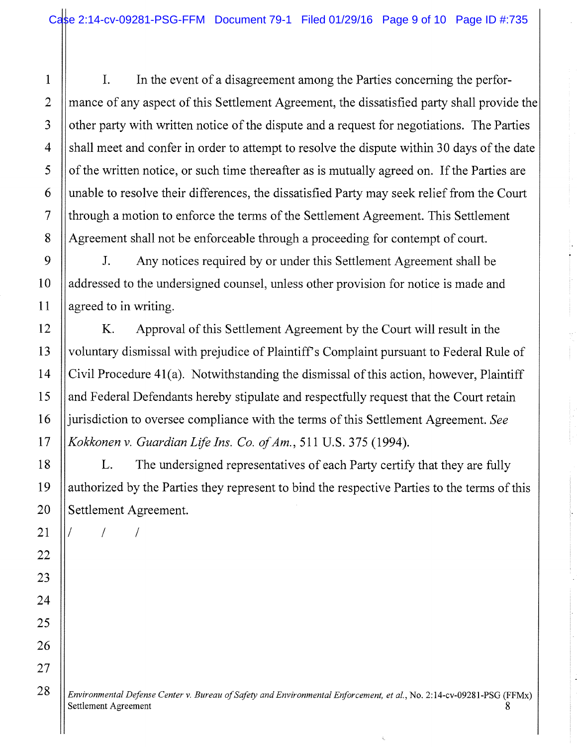I. In the event of a disagreement among the Parties concerning the performance of any aspect of this Settlement Agreement, the dissatisfied party shall provide the other party with written notice of the dispute and a request for negotiations. The Parties shall meet and confer in order to attempt to resolve the dispute within 30 days of the date of the written notice, or such time thereafter as is mutually agreed on. If the Parties are unable to resolve their differences, the dissatisfied Party may seek relief from the Court through a motion to enforce the terms of the Settlement Agreement. This Settlement Agreement shall not be enforceable through a proceeding for contempt of court.

J. Any notices required by or under this Settlement Agreement shall be addressed to the undersigned counsel, unless other provision for notice is made and agreed to in writing.

K. Approval of this Settlement Agreement by the Court will result in the voluntary dismissal with prejudice of Plaintiff's Complaint pursuant to Federal Rule of Civil Procedure 41(a). Notwithstanding the dismissal of this action, however, Plaintiff and Federal Defendants hereby stipulate and respectfully request that the Court retain jurisdiction to oversee compliance with the terms of this Settlement Agreement. See Kokkonen v. Guardian Life Ins. Co. of Am., 511 U.S. 375 (1994).

L. The undersigned representatives of each Party certify that they are fully authorized by the Parties they represent to bind the respective Parties to the terms of this Settlement Agreement.

/ / /

28

1

2

3

4

5

6

7

8

9

10

11

12

13

14